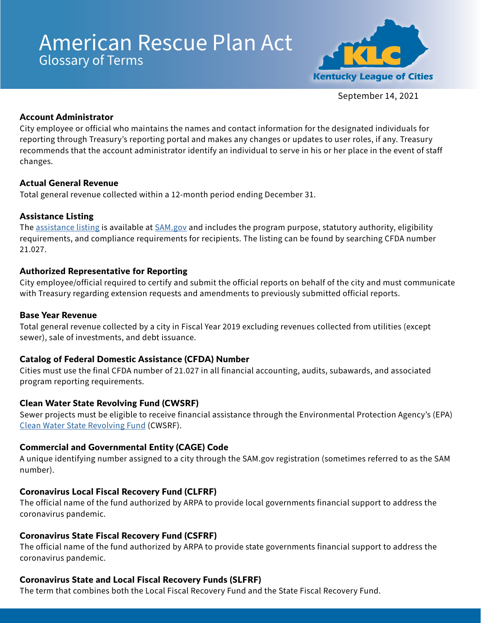# American Rescue Plan Act Glossary of Terms



September 14, 2021

## Account Administrator

City employee or official who maintains the names and contact information for the designated individuals for reporting through Treasury's reporting portal and makes any changes or updates to user roles, if any. Treasury recommends that the account administrator identify an individual to serve in his or her place in the event of staff changes.

## Actual General Revenue

Total general revenue collected within a 12-month period ending December 31.

# Assistance Listing

The [assistance listing](https://sam.gov/fal/7cecfdef62dc42729a3fdcd449bd62b8/view) is available at  $SAM.gov$  and includes the program purpose, statutory authority, eligibility requirements, and compliance requirements for recipients. The listing can be found by searching CFDA number 21.027.

# Authorized Representative for Reporting

City employee/official required to certify and submit the official reports on behalf of the city and must communicate with Treasury regarding extension requests and amendments to previously submitted official reports.

# Base Year Revenue

Total general revenue collected by a city in Fiscal Year 2019 excluding revenues collected from utilities (except sewer), sale of investments, and debt issuance.

# Catalog of Federal Domestic Assistance (CFDA) Number

Cities must use the final CFDA number of 21.027 in all financial accounting, audits, subawards, and associated program reporting requirements.

# Clean Water State Revolving Fund (CWSRF)

Sewer projects must be eligible to receive financial assistance through the Environmental Protection Agency's (EPA) [Clean Water State Revolving Fund](https://www.epa.gov/sites/default/files/2016-07/documents/overview_of_cwsrf_eligibilities_may_2016.pdf) (CWSRF).

# Commercial and Governmental Entity (CAGE) Code

A unique identifying number assigned to a city through the SAM.gov registration (sometimes referred to as the SAM number).

# Coronavirus Local Fiscal Recovery Fund (CLFRF)

The official name of the fund authorized by ARPA to provide local governments financial support to address the coronavirus pandemic.

# Coronavirus State Fiscal Recovery Fund (CSFRF)

The official name of the fund authorized by ARPA to provide state governments financial support to address the coronavirus pandemic.

# Coronavirus State and Local Fiscal Recovery Funds (SLFRF)

The term that combines both the Local Fiscal Recovery Fund and the State Fiscal Recovery Fund.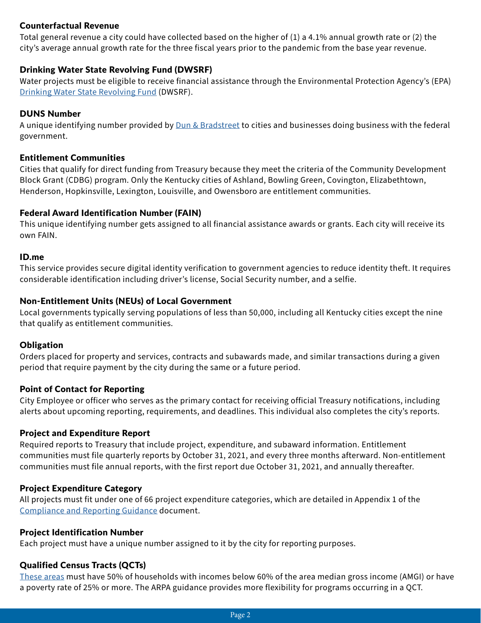## Counterfactual Revenue

Total general revenue a city could have collected based on the higher of (1) a 4.1% annual growth rate or (2) the city's average annual growth rate for the three fiscal years prior to the pandemic from the base year revenue.

## Drinking Water State Revolving Fund (DWSRF)

Water projects must be eligible to receive financial assistance through the Environmental Protection Agency's (EPA) [Drinking Water State Revolving Fund](https://www.epa.gov/node/235681) (DWSRF).

#### DUNS Number

A unique identifying number provided by *Dun & Bradstreet* to cities and businesses doing business with the federal government.

#### Entitlement Communities

Cities that qualify for direct funding from Treasury because they meet the criteria of the Community Development Block Grant (CDBG) program. Only the Kentucky cities of Ashland, Bowling Green, Covington, Elizabethtown, Henderson, Hopkinsville, Lexington, Louisville, and Owensboro are entitlement communities.

## Federal Award Identification Number (FAIN)

This unique identifying number gets assigned to all financial assistance awards or grants. Each city will receive its own FAIN.

#### ID.me

This service provides secure digital identity verification to government agencies to reduce identity theft. It requires considerable identification including driver's license, Social Security number, and a selfie.

## Non-Entitlement Units (NEUs) of Local Government

Local governments typically serving populations of less than 50,000, including all Kentucky cities except the nine that qualify as entitlement communities.

#### **Obligation**

Orders placed for property and services, contracts and subawards made, and similar transactions during a given period that require payment by the city during the same or a future period.

#### Point of Contact for Reporting

City Employee or officer who serves as the primary contact for receiving official Treasury notifications, including alerts about upcoming reporting, requirements, and deadlines. This individual also completes the city's reports.

#### Project and Expenditure Report

Required reports to Treasury that include project, expenditure, and subaward information. Entitlement communities must file quarterly reports by October 31, 2021, and every three months afterward. Non-entitlement communities must file annual reports, with the first report due October 31, 2021, and annually thereafter.

#### Project Expenditure Category

All projects must fit under one of 66 project expenditure categories, which are detailed in Appendix 1 of the [Compliance and Reporting Guidance](https://home.treasury.gov/system/files/136/SLFRF-Compliance-and-Reporting-Guidance.pdf) document.

#### Project Identification Number

Each project must have a unique number assigned to it by the city for reporting purposes.

#### Qualified Census Tracts (QCTs)

[These areas](https://www.huduser.gov/portal/sadda/sadda_qct.html) must have 50% of households with incomes below 60% of the area median gross income (AMGI) or have a poverty rate of 25% or more. The ARPA guidance provides more flexibility for programs occurring in a QCT.